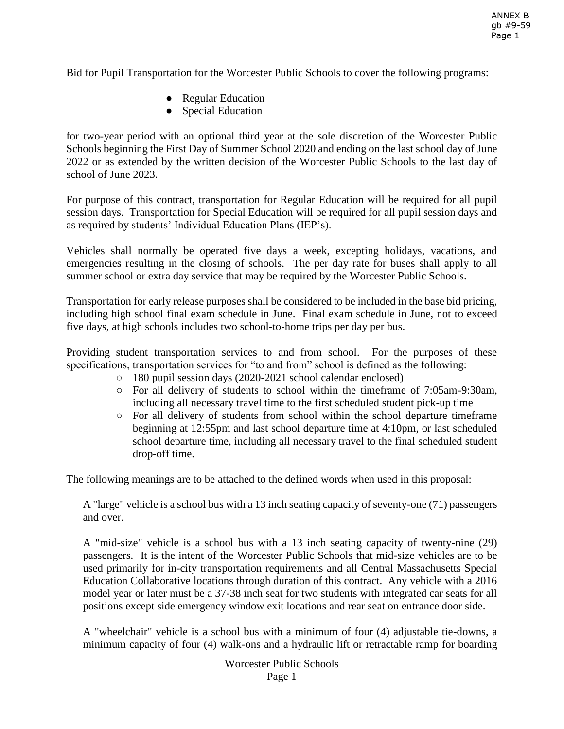Bid for Pupil Transportation for the Worcester Public Schools to cover the following programs:

- Regular Education
- Special Education

for two-year period with an optional third year at the sole discretion of the Worcester Public Schools beginning the First Day of Summer School 2020 and ending on the last school day of June 2022 or as extended by the written decision of the Worcester Public Schools to the last day of school of June 2023.

For purpose of this contract, transportation for Regular Education will be required for all pupil session days. Transportation for Special Education will be required for all pupil session days and as required by students' Individual Education Plans (IEP's).

Vehicles shall normally be operated five days a week, excepting holidays, vacations, and emergencies resulting in the closing of schools. The per day rate for buses shall apply to all summer school or extra day service that may be required by the Worcester Public Schools.

Transportation for early release purposes shall be considered to be included in the base bid pricing, including high school final exam schedule in June. Final exam schedule in June, not to exceed five days, at high schools includes two school-to-home trips per day per bus.

Providing student transportation services to and from school. For the purposes of these specifications, transportation services for "to and from" school is defined as the following:

- 180 pupil session days (2020-2021 school calendar enclosed)
- For all delivery of students to school within the timeframe of 7:05am-9:30am, including all necessary travel time to the first scheduled student pick-up time
- For all delivery of students from school within the school departure timeframe beginning at 12:55pm and last school departure time at 4:10pm, or last scheduled school departure time, including all necessary travel to the final scheduled student drop-off time.

The following meanings are to be attached to the defined words when used in this proposal:

A "large" vehicle is a school bus with a 13 inch seating capacity of seventy-one (71) passengers and over.

A "mid-size" vehicle is a school bus with a 13 inch seating capacity of twenty-nine (29) passengers. It is the intent of the Worcester Public Schools that mid-size vehicles are to be used primarily for in-city transportation requirements and all Central Massachusetts Special Education Collaborative locations through duration of this contract. Any vehicle with a 2016 model year or later must be a 37-38 inch seat for two students with integrated car seats for all positions except side emergency window exit locations and rear seat on entrance door side.

A "wheelchair" vehicle is a school bus with a minimum of four (4) adjustable tie-downs, a minimum capacity of four (4) walk-ons and a hydraulic lift or retractable ramp for boarding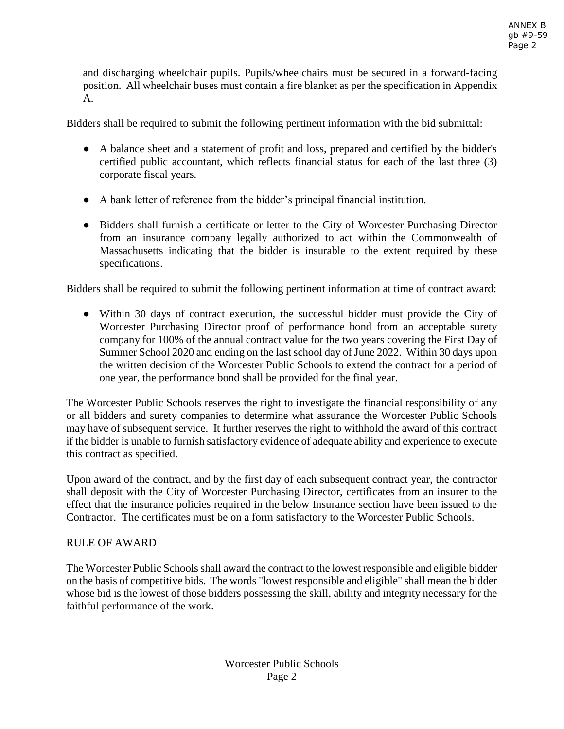and discharging wheelchair pupils. Pupils/wheelchairs must be secured in a forward-facing position. All wheelchair buses must contain a fire blanket as per the specification in Appendix A.

Bidders shall be required to submit the following pertinent information with the bid submittal:

- A balance sheet and a statement of profit and loss, prepared and certified by the bidder's certified public accountant, which reflects financial status for each of the last three (3) corporate fiscal years.
- A bank letter of reference from the bidder's principal financial institution.
- Bidders shall furnish a certificate or letter to the City of Worcester Purchasing Director from an insurance company legally authorized to act within the Commonwealth of Massachusetts indicating that the bidder is insurable to the extent required by these specifications.

Bidders shall be required to submit the following pertinent information at time of contract award:

● Within 30 days of contract execution, the successful bidder must provide the City of Worcester Purchasing Director proof of performance bond from an acceptable surety company for 100% of the annual contract value for the two years covering the First Day of Summer School 2020 and ending on the last school day of June 2022. Within 30 days upon the written decision of the Worcester Public Schools to extend the contract for a period of one year, the performance bond shall be provided for the final year.

The Worcester Public Schools reserves the right to investigate the financial responsibility of any or all bidders and surety companies to determine what assurance the Worcester Public Schools may have of subsequent service. It further reserves the right to withhold the award of this contract if the bidder is unable to furnish satisfactory evidence of adequate ability and experience to execute this contract as specified.

Upon award of the contract, and by the first day of each subsequent contract year, the contractor shall deposit with the City of Worcester Purchasing Director, certificates from an insurer to the effect that the insurance policies required in the below Insurance section have been issued to the Contractor. The certificates must be on a form satisfactory to the Worcester Public Schools.

# RULE OF AWARD

The Worcester Public Schools shall award the contract to the lowest responsible and eligible bidder on the basis of competitive bids. The words "lowest responsible and eligible" shall mean the bidder whose bid is the lowest of those bidders possessing the skill, ability and integrity necessary for the faithful performance of the work.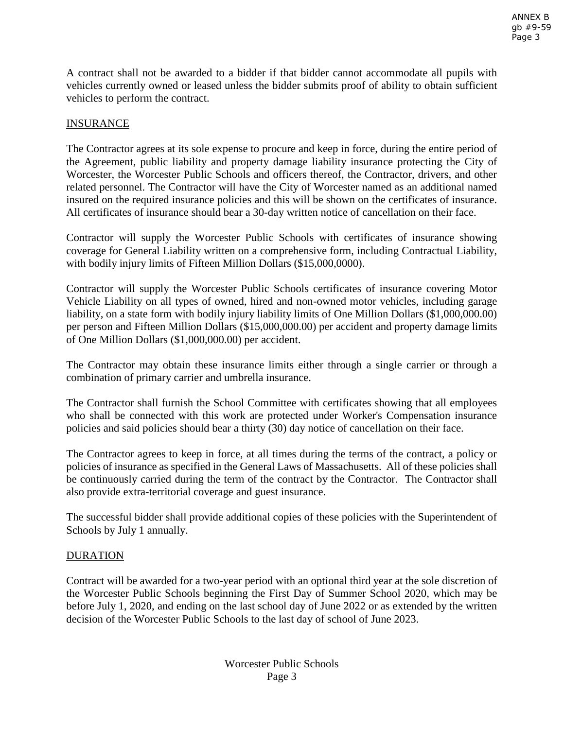A contract shall not be awarded to a bidder if that bidder cannot accommodate all pupils with vehicles currently owned or leased unless the bidder submits proof of ability to obtain sufficient vehicles to perform the contract.

# INSURANCE

The Contractor agrees at its sole expense to procure and keep in force, during the entire period of the Agreement, public liability and property damage liability insurance protecting the City of Worcester, the Worcester Public Schools and officers thereof, the Contractor, drivers, and other related personnel. The Contractor will have the City of Worcester named as an additional named insured on the required insurance policies and this will be shown on the certificates of insurance. All certificates of insurance should bear a 30-day written notice of cancellation on their face.

Contractor will supply the Worcester Public Schools with certificates of insurance showing coverage for General Liability written on a comprehensive form, including Contractual Liability, with bodily injury limits of Fifteen Million Dollars (\$15,000,0000).

Contractor will supply the Worcester Public Schools certificates of insurance covering Motor Vehicle Liability on all types of owned, hired and non-owned motor vehicles, including garage liability, on a state form with bodily injury liability limits of One Million Dollars (\$1,000,000.00) per person and Fifteen Million Dollars (\$15,000,000.00) per accident and property damage limits of One Million Dollars (\$1,000,000.00) per accident.

The Contractor may obtain these insurance limits either through a single carrier or through a combination of primary carrier and umbrella insurance.

The Contractor shall furnish the School Committee with certificates showing that all employees who shall be connected with this work are protected under Worker's Compensation insurance policies and said policies should bear a thirty (30) day notice of cancellation on their face.

The Contractor agrees to keep in force, at all times during the terms of the contract, a policy or policies of insurance as specified in the General Laws of Massachusetts. All of these policies shall be continuously carried during the term of the contract by the Contractor. The Contractor shall also provide extra-territorial coverage and guest insurance.

The successful bidder shall provide additional copies of these policies with the Superintendent of Schools by July 1 annually.

### **DURATION**

Contract will be awarded for a two-year period with an optional third year at the sole discretion of the Worcester Public Schools beginning the First Day of Summer School 2020, which may be before July 1, 2020, and ending on the last school day of June 2022 or as extended by the written decision of the Worcester Public Schools to the last day of school of June 2023.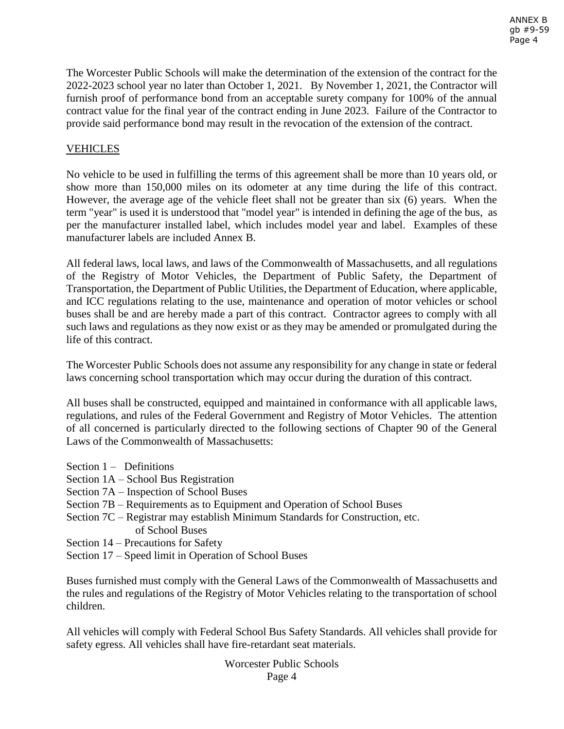The Worcester Public Schools will make the determination of the extension of the contract for the 2022-2023 school year no later than October 1, 2021. By November 1, 2021, the Contractor will furnish proof of performance bond from an acceptable surety company for 100% of the annual contract value for the final year of the contract ending in June 2023. Failure of the Contractor to provide said performance bond may result in the revocation of the extension of the contract.

# **VEHICLES**

No vehicle to be used in fulfilling the terms of this agreement shall be more than 10 years old, or show more than 150,000 miles on its odometer at any time during the life of this contract. However, the average age of the vehicle fleet shall not be greater than six (6) years. When the term "year" is used it is understood that "model year" is intended in defining the age of the bus, as per the manufacturer installed label, which includes model year and label. Examples of these manufacturer labels are included Annex B.

All federal laws, local laws, and laws of the Commonwealth of Massachusetts, and all regulations of the Registry of Motor Vehicles, the Department of Public Safety, the Department of Transportation, the Department of Public Utilities, the Department of Education, where applicable, and ICC regulations relating to the use, maintenance and operation of motor vehicles or school buses shall be and are hereby made a part of this contract. Contractor agrees to comply with all such laws and regulations as they now exist or as they may be amended or promulgated during the life of this contract.

The Worcester Public Schools does not assume any responsibility for any change in state or federal laws concerning school transportation which may occur during the duration of this contract.

All buses shall be constructed, equipped and maintained in conformance with all applicable laws, regulations, and rules of the Federal Government and Registry of Motor Vehicles. The attention of all concerned is particularly directed to the following sections of Chapter 90 of the General Laws of the Commonwealth of Massachusetts:

- Section  $1 -$  Definitions
- Section 1A School Bus Registration
- Section 7A Inspection of School Buses
- Section 7B Requirements as to Equipment and Operation of School Buses
- Section 7C Registrar may establish Minimum Standards for Construction, etc. of School Buses
- Section 14 Precautions for Safety
- Section 17 Speed limit in Operation of School Buses

Buses furnished must comply with the General Laws of the Commonwealth of Massachusetts and the rules and regulations of the Registry of Motor Vehicles relating to the transportation of school children.

All vehicles will comply with Federal School Bus Safety Standards. All vehicles shall provide for safety egress. All vehicles shall have fire-retardant seat materials.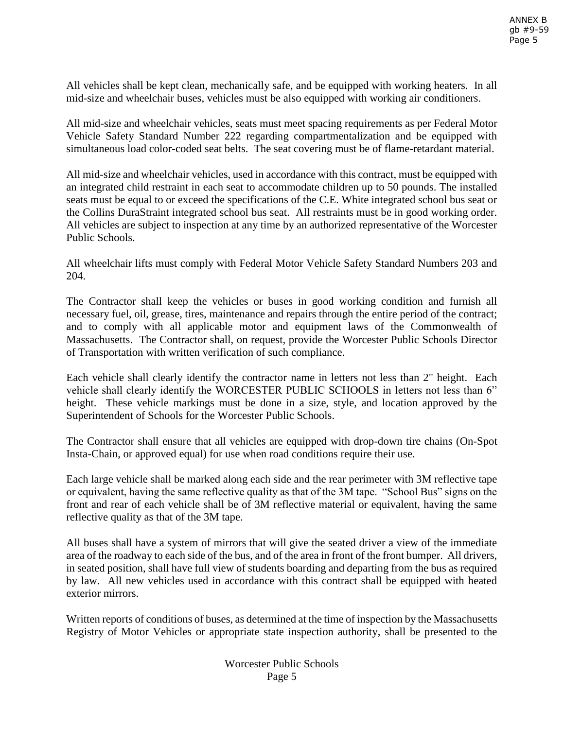All vehicles shall be kept clean, mechanically safe, and be equipped with working heaters. In all mid-size and wheelchair buses, vehicles must be also equipped with working air conditioners.

All mid-size and wheelchair vehicles, seats must meet spacing requirements as per Federal Motor Vehicle Safety Standard Number 222 regarding compartmentalization and be equipped with simultaneous load color-coded seat belts. The seat covering must be of flame-retardant material.

All mid-size and wheelchair vehicles, used in accordance with this contract, must be equipped with an integrated child restraint in each seat to accommodate children up to 50 pounds. The installed seats must be equal to or exceed the specifications of the C.E. White integrated school bus seat or the Collins DuraStraint integrated school bus seat. All restraints must be in good working order. All vehicles are subject to inspection at any time by an authorized representative of the Worcester Public Schools.

All wheelchair lifts must comply with Federal Motor Vehicle Safety Standard Numbers 203 and 204.

The Contractor shall keep the vehicles or buses in good working condition and furnish all necessary fuel, oil, grease, tires, maintenance and repairs through the entire period of the contract; and to comply with all applicable motor and equipment laws of the Commonwealth of Massachusetts. The Contractor shall, on request, provide the Worcester Public Schools Director of Transportation with written verification of such compliance.

Each vehicle shall clearly identify the contractor name in letters not less than 2" height. Each vehicle shall clearly identify the WORCESTER PUBLIC SCHOOLS in letters not less than 6" height. These vehicle markings must be done in a size, style, and location approved by the Superintendent of Schools for the Worcester Public Schools.

The Contractor shall ensure that all vehicles are equipped with drop-down tire chains (On-Spot Insta-Chain, or approved equal) for use when road conditions require their use.

Each large vehicle shall be marked along each side and the rear perimeter with 3M reflective tape or equivalent, having the same reflective quality as that of the 3M tape. "School Bus" signs on the front and rear of each vehicle shall be of 3M reflective material or equivalent, having the same reflective quality as that of the 3M tape.

All buses shall have a system of mirrors that will give the seated driver a view of the immediate area of the roadway to each side of the bus, and of the area in front of the front bumper. All drivers, in seated position, shall have full view of students boarding and departing from the bus as required by law. All new vehicles used in accordance with this contract shall be equipped with heated exterior mirrors.

Written reports of conditions of buses, as determined at the time of inspection by the Massachusetts Registry of Motor Vehicles or appropriate state inspection authority, shall be presented to the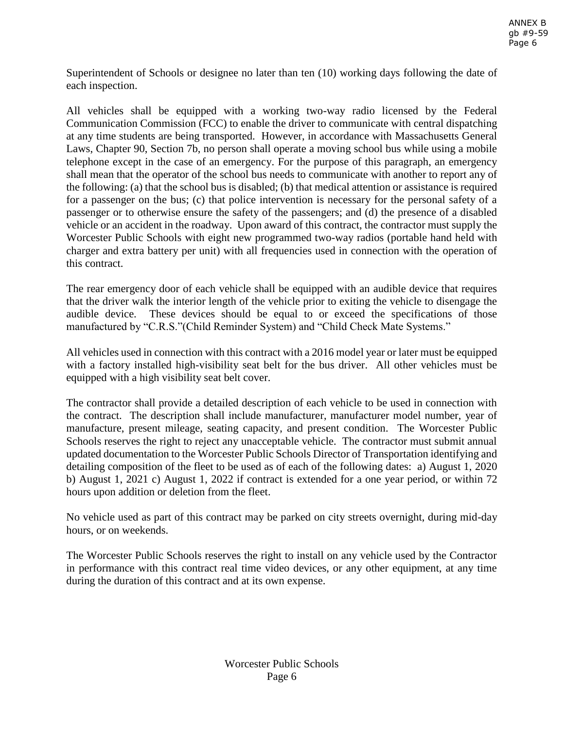Superintendent of Schools or designee no later than ten (10) working days following the date of each inspection.

All vehicles shall be equipped with a working two-way radio licensed by the Federal Communication Commission (FCC) to enable the driver to communicate with central dispatching at any time students are being transported. However, in accordance with Massachusetts General Laws, Chapter 90, Section 7b, no person shall operate a moving school bus while using a mobile telephone except in the case of an emergency. For the purpose of this paragraph, an emergency shall mean that the operator of the school bus needs to communicate with another to report any of the following: (a) that the school bus is disabled; (b) that medical attention or assistance is required for a passenger on the bus; (c) that police intervention is necessary for the personal safety of a passenger or to otherwise ensure the safety of the passengers; and (d) the presence of a disabled vehicle or an accident in the roadway. Upon award of this contract, the contractor must supply the Worcester Public Schools with eight new programmed two-way radios (portable hand held with charger and extra battery per unit) with all frequencies used in connection with the operation of this contract.

The rear emergency door of each vehicle shall be equipped with an audible device that requires that the driver walk the interior length of the vehicle prior to exiting the vehicle to disengage the audible device. These devices should be equal to or exceed the specifications of those manufactured by "C.R.S."(Child Reminder System) and "Child Check Mate Systems."

All vehicles used in connection with this contract with a 2016 model year or later must be equipped with a factory installed high-visibility seat belt for the bus driver. All other vehicles must be equipped with a high visibility seat belt cover.

The contractor shall provide a detailed description of each vehicle to be used in connection with the contract. The description shall include manufacturer, manufacturer model number, year of manufacture, present mileage, seating capacity, and present condition. The Worcester Public Schools reserves the right to reject any unacceptable vehicle. The contractor must submit annual updated documentation to the Worcester Public Schools Director of Transportation identifying and detailing composition of the fleet to be used as of each of the following dates: a) August 1, 2020 b) August 1, 2021 c) August 1, 2022 if contract is extended for a one year period, or within 72 hours upon addition or deletion from the fleet.

No vehicle used as part of this contract may be parked on city streets overnight, during mid-day hours, or on weekends.

The Worcester Public Schools reserves the right to install on any vehicle used by the Contractor in performance with this contract real time video devices, or any other equipment, at any time during the duration of this contract and at its own expense.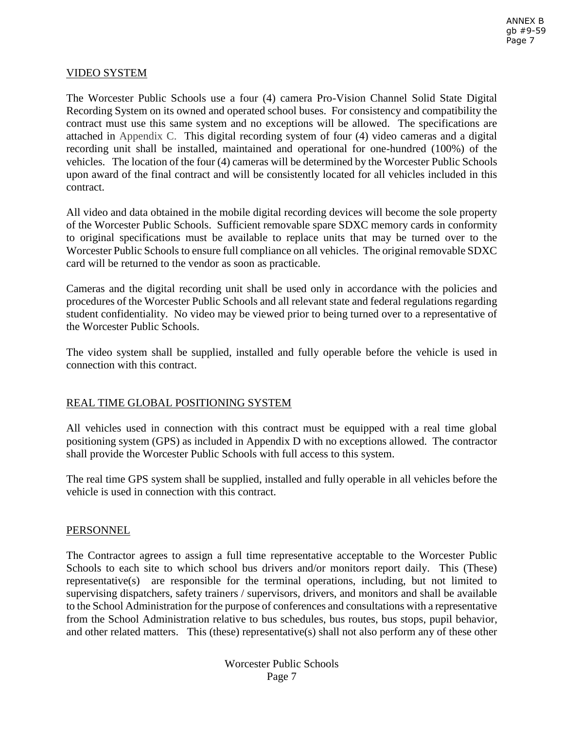#### VIDEO SYSTEM

The Worcester Public Schools use a four (4) camera Pro-Vision Channel Solid State Digital Recording System on its owned and operated school buses. For consistency and compatibility the contract must use this same system and no exceptions will be allowed. The specifications are attached in Appendix C. This digital recording system of four (4) video cameras and a digital recording unit shall be installed, maintained and operational for one-hundred (100%) of the vehicles. The location of the four (4) cameras will be determined by the Worcester Public Schools upon award of the final contract and will be consistently located for all vehicles included in this contract.

All video and data obtained in the mobile digital recording devices will become the sole property of the Worcester Public Schools. Sufficient removable spare SDXC memory cards in conformity to original specifications must be available to replace units that may be turned over to the Worcester Public Schools to ensure full compliance on all vehicles. The original removable SDXC card will be returned to the vendor as soon as practicable.

Cameras and the digital recording unit shall be used only in accordance with the policies and procedures of the Worcester Public Schools and all relevant state and federal regulations regarding student confidentiality. No video may be viewed prior to being turned over to a representative of the Worcester Public Schools.

The video system shall be supplied, installed and fully operable before the vehicle is used in connection with this contract.

#### REAL TIME GLOBAL POSITIONING SYSTEM

All vehicles used in connection with this contract must be equipped with a real time global positioning system (GPS) as included in Appendix D with no exceptions allowed. The contractor shall provide the Worcester Public Schools with full access to this system.

The real time GPS system shall be supplied, installed and fully operable in all vehicles before the vehicle is used in connection with this contract.

#### **PERSONNEL**

The Contractor agrees to assign a full time representative acceptable to the Worcester Public Schools to each site to which school bus drivers and/or monitors report daily. This (These) representative(s) are responsible for the terminal operations, including, but not limited to supervising dispatchers, safety trainers / supervisors, drivers, and monitors and shall be available to the School Administration for the purpose of conferences and consultations with a representative from the School Administration relative to bus schedules, bus routes, bus stops, pupil behavior, and other related matters. This (these) representative(s) shall not also perform any of these other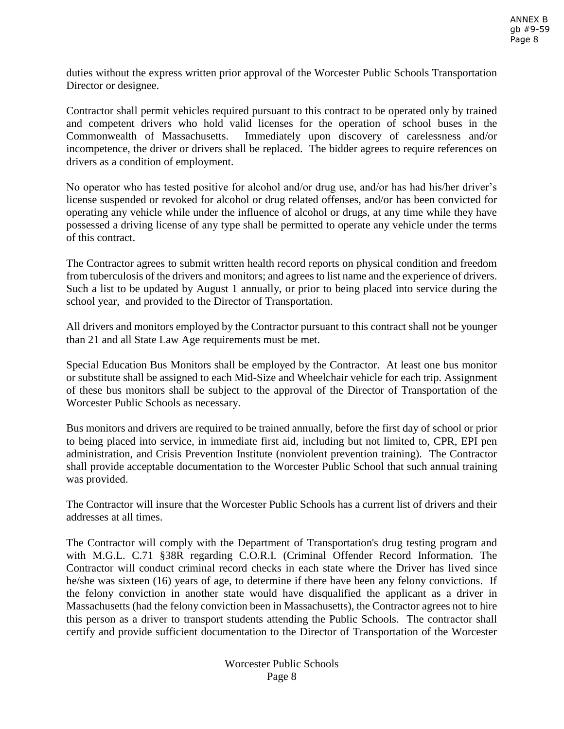duties without the express written prior approval of the Worcester Public Schools Transportation Director or designee.

Contractor shall permit vehicles required pursuant to this contract to be operated only by trained and competent drivers who hold valid licenses for the operation of school buses in the Commonwealth of Massachusetts. Immediately upon discovery of carelessness and/or incompetence, the driver or drivers shall be replaced. The bidder agrees to require references on drivers as a condition of employment.

No operator who has tested positive for alcohol and/or drug use, and/or has had his/her driver's license suspended or revoked for alcohol or drug related offenses, and/or has been convicted for operating any vehicle while under the influence of alcohol or drugs, at any time while they have possessed a driving license of any type shall be permitted to operate any vehicle under the terms of this contract.

The Contractor agrees to submit written health record reports on physical condition and freedom from tuberculosis of the drivers and monitors; and agrees to list name and the experience of drivers. Such a list to be updated by August 1 annually, or prior to being placed into service during the school year, and provided to the Director of Transportation.

All drivers and monitors employed by the Contractor pursuant to this contract shall not be younger than 21 and all State Law Age requirements must be met.

Special Education Bus Monitors shall be employed by the Contractor. At least one bus monitor or substitute shall be assigned to each Mid-Size and Wheelchair vehicle for each trip. Assignment of these bus monitors shall be subject to the approval of the Director of Transportation of the Worcester Public Schools as necessary.

Bus monitors and drivers are required to be trained annually, before the first day of school or prior to being placed into service, in immediate first aid, including but not limited to, CPR, EPI pen administration, and Crisis Prevention Institute (nonviolent prevention training). The Contractor shall provide acceptable documentation to the Worcester Public School that such annual training was provided.

The Contractor will insure that the Worcester Public Schools has a current list of drivers and their addresses at all times.

The Contractor will comply with the Department of Transportation's drug testing program and with M.G.L. C.71 §38R regarding C.O.R.I. (Criminal Offender Record Information. The Contractor will conduct criminal record checks in each state where the Driver has lived since he/she was sixteen (16) years of age, to determine if there have been any felony convictions. If the felony conviction in another state would have disqualified the applicant as a driver in Massachusetts (had the felony conviction been in Massachusetts), the Contractor agrees not to hire this person as a driver to transport students attending the Public Schools. The contractor shall certify and provide sufficient documentation to the Director of Transportation of the Worcester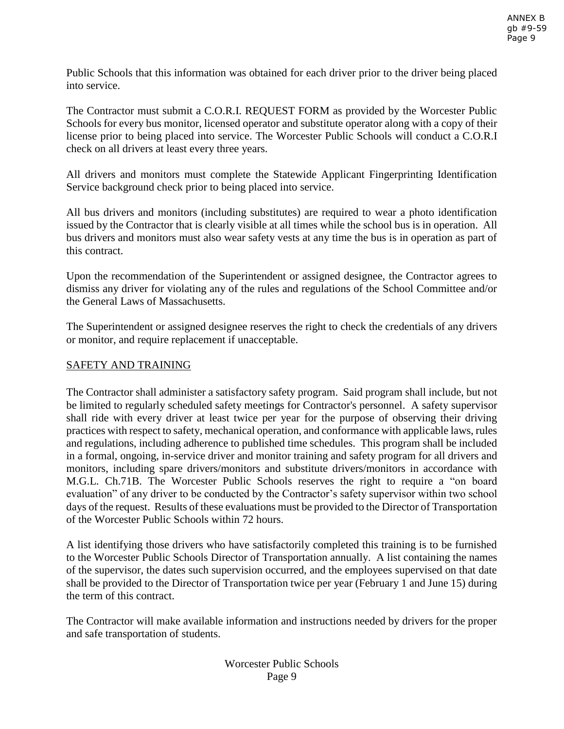Public Schools that this information was obtained for each driver prior to the driver being placed into service.

The Contractor must submit a C.O.R.I. REQUEST FORM as provided by the Worcester Public Schools for every bus monitor, licensed operator and substitute operator along with a copy of their license prior to being placed into service. The Worcester Public Schools will conduct a C.O.R.I check on all drivers at least every three years.

All drivers and monitors must complete the Statewide Applicant Fingerprinting Identification Service background check prior to being placed into service.

All bus drivers and monitors (including substitutes) are required to wear a photo identification issued by the Contractor that is clearly visible at all times while the school bus is in operation. All bus drivers and monitors must also wear safety vests at any time the bus is in operation as part of this contract.

Upon the recommendation of the Superintendent or assigned designee, the Contractor agrees to dismiss any driver for violating any of the rules and regulations of the School Committee and/or the General Laws of Massachusetts.

The Superintendent or assigned designee reserves the right to check the credentials of any drivers or monitor, and require replacement if unacceptable.

### SAFETY AND TRAINING

The Contractor shall administer a satisfactory safety program. Said program shall include, but not be limited to regularly scheduled safety meetings for Contractor's personnel. A safety supervisor shall ride with every driver at least twice per year for the purpose of observing their driving practices with respect to safety, mechanical operation, and conformance with applicable laws, rules and regulations, including adherence to published time schedules. This program shall be included in a formal, ongoing, in-service driver and monitor training and safety program for all drivers and monitors, including spare drivers/monitors and substitute drivers/monitors in accordance with M.G.L. Ch.71B. The Worcester Public Schools reserves the right to require a "on board evaluation" of any driver to be conducted by the Contractor's safety supervisor within two school days of the request. Results of these evaluations must be provided to the Director of Transportation of the Worcester Public Schools within 72 hours.

A list identifying those drivers who have satisfactorily completed this training is to be furnished to the Worcester Public Schools Director of Transportation annually. A list containing the names of the supervisor, the dates such supervision occurred, and the employees supervised on that date shall be provided to the Director of Transportation twice per year (February 1 and June 15) during the term of this contract.

The Contractor will make available information and instructions needed by drivers for the proper and safe transportation of students.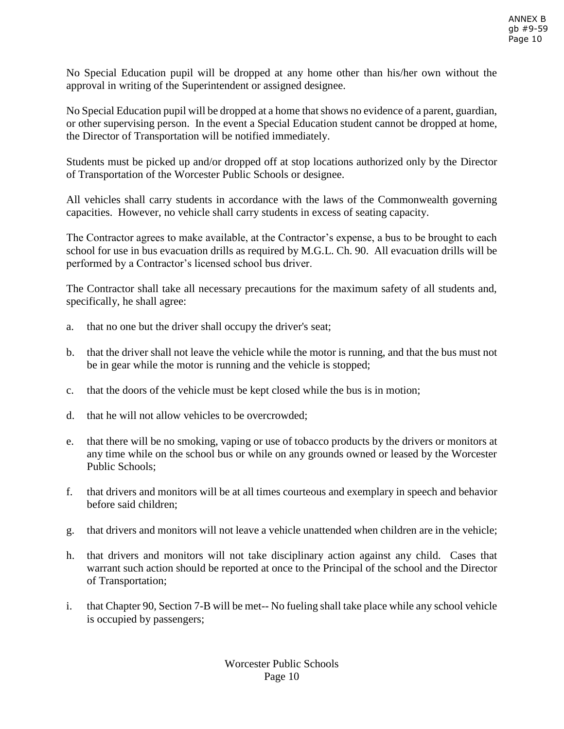No Special Education pupil will be dropped at any home other than his/her own without the approval in writing of the Superintendent or assigned designee.

No Special Education pupil will be dropped at a home that shows no evidence of a parent, guardian, or other supervising person. In the event a Special Education student cannot be dropped at home, the Director of Transportation will be notified immediately.

Students must be picked up and/or dropped off at stop locations authorized only by the Director of Transportation of the Worcester Public Schools or designee.

All vehicles shall carry students in accordance with the laws of the Commonwealth governing capacities. However, no vehicle shall carry students in excess of seating capacity.

The Contractor agrees to make available, at the Contractor's expense, a bus to be brought to each school for use in bus evacuation drills as required by M.G.L. Ch. 90. All evacuation drills will be performed by a Contractor's licensed school bus driver.

The Contractor shall take all necessary precautions for the maximum safety of all students and, specifically, he shall agree:

- a. that no one but the driver shall occupy the driver's seat;
- b. that the driver shall not leave the vehicle while the motor is running, and that the bus must not be in gear while the motor is running and the vehicle is stopped;
- c. that the doors of the vehicle must be kept closed while the bus is in motion;
- d. that he will not allow vehicles to be overcrowded;
- e. that there will be no smoking, vaping or use of tobacco products by the drivers or monitors at any time while on the school bus or while on any grounds owned or leased by the Worcester Public Schools;
- f. that drivers and monitors will be at all times courteous and exemplary in speech and behavior before said children;
- g. that drivers and monitors will not leave a vehicle unattended when children are in the vehicle;
- h. that drivers and monitors will not take disciplinary action against any child. Cases that warrant such action should be reported at once to the Principal of the school and the Director of Transportation;
- i. that Chapter 90, Section 7-B will be met-- No fueling shall take place while any school vehicle is occupied by passengers;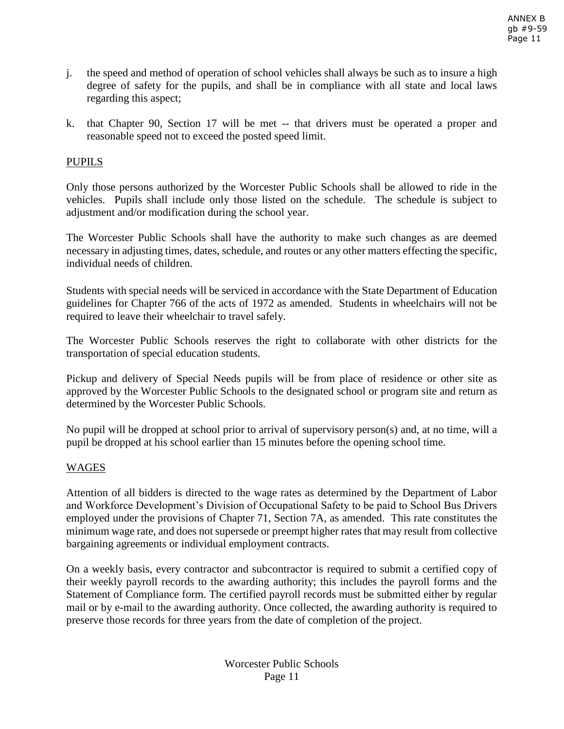- j. the speed and method of operation of school vehicles shall always be such as to insure a high degree of safety for the pupils, and shall be in compliance with all state and local laws regarding this aspect;
- k. that Chapter 90, Section 17 will be met -- that drivers must be operated a proper and reasonable speed not to exceed the posted speed limit.

# PUPILS

Only those persons authorized by the Worcester Public Schools shall be allowed to ride in the vehicles. Pupils shall include only those listed on the schedule. The schedule is subject to adjustment and/or modification during the school year.

The Worcester Public Schools shall have the authority to make such changes as are deemed necessary in adjusting times, dates, schedule, and routes or any other matters effecting the specific, individual needs of children.

Students with special needs will be serviced in accordance with the State Department of Education guidelines for Chapter 766 of the acts of 1972 as amended. Students in wheelchairs will not be required to leave their wheelchair to travel safely.

The Worcester Public Schools reserves the right to collaborate with other districts for the transportation of special education students.

Pickup and delivery of Special Needs pupils will be from place of residence or other site as approved by the Worcester Public Schools to the designated school or program site and return as determined by the Worcester Public Schools.

No pupil will be dropped at school prior to arrival of supervisory person(s) and, at no time, will a pupil be dropped at his school earlier than 15 minutes before the opening school time.

### WAGES

Attention of all bidders is directed to the wage rates as determined by the Department of Labor and Workforce Development's Division of Occupational Safety to be paid to School Bus Drivers employed under the provisions of Chapter 71, Section 7A, as amended. This rate constitutes the minimum wage rate, and does not supersede or preempt higher rates that may result from collective bargaining agreements or individual employment contracts.

On a weekly basis, every contractor and subcontractor is required to submit a certified copy of their weekly payroll records to the awarding authority; this includes the payroll forms and the Statement of Compliance form. The certified payroll records must be submitted either by regular mail or by e-mail to the awarding authority. Once collected, the awarding authority is required to preserve those records for three years from the date of completion of the project.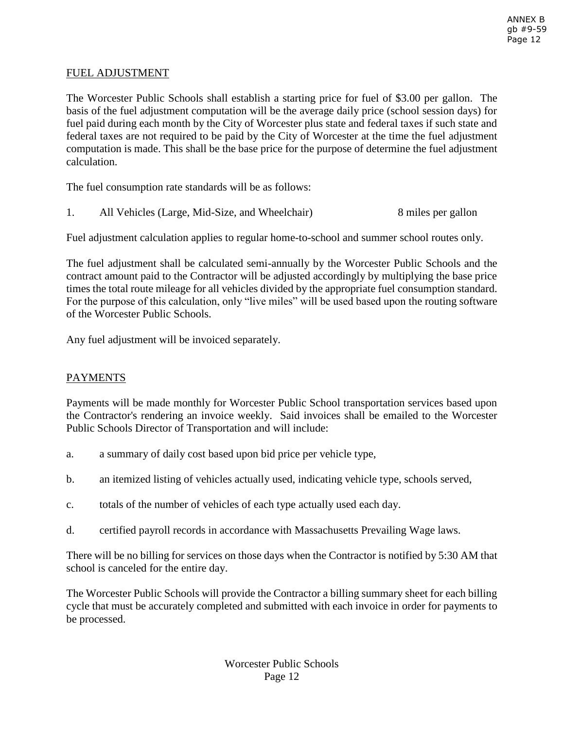#### FUEL ADJUSTMENT

The Worcester Public Schools shall establish a starting price for fuel of \$3.00 per gallon. The basis of the fuel adjustment computation will be the average daily price (school session days) for fuel paid during each month by the City of Worcester plus state and federal taxes if such state and federal taxes are not required to be paid by the City of Worcester at the time the fuel adjustment computation is made. This shall be the base price for the purpose of determine the fuel adjustment calculation.

The fuel consumption rate standards will be as follows:

1. All Vehicles (Large, Mid-Size, and Wheelchair) 8 miles per gallon

Fuel adjustment calculation applies to regular home-to-school and summer school routes only.

The fuel adjustment shall be calculated semi-annually by the Worcester Public Schools and the contract amount paid to the Contractor will be adjusted accordingly by multiplying the base price times the total route mileage for all vehicles divided by the appropriate fuel consumption standard. For the purpose of this calculation, only "live miles" will be used based upon the routing software of the Worcester Public Schools.

Any fuel adjustment will be invoiced separately.

### PAYMENTS

Payments will be made monthly for Worcester Public School transportation services based upon the Contractor's rendering an invoice weekly. Said invoices shall be emailed to the Worcester Public Schools Director of Transportation and will include:

- a. a summary of daily cost based upon bid price per vehicle type,
- b. an itemized listing of vehicles actually used, indicating vehicle type, schools served,
- c. totals of the number of vehicles of each type actually used each day.
- d. certified payroll records in accordance with Massachusetts Prevailing Wage laws.

There will be no billing for services on those days when the Contractor is notified by 5:30 AM that school is canceled for the entire day.

The Worcester Public Schools will provide the Contractor a billing summary sheet for each billing cycle that must be accurately completed and submitted with each invoice in order for payments to be processed.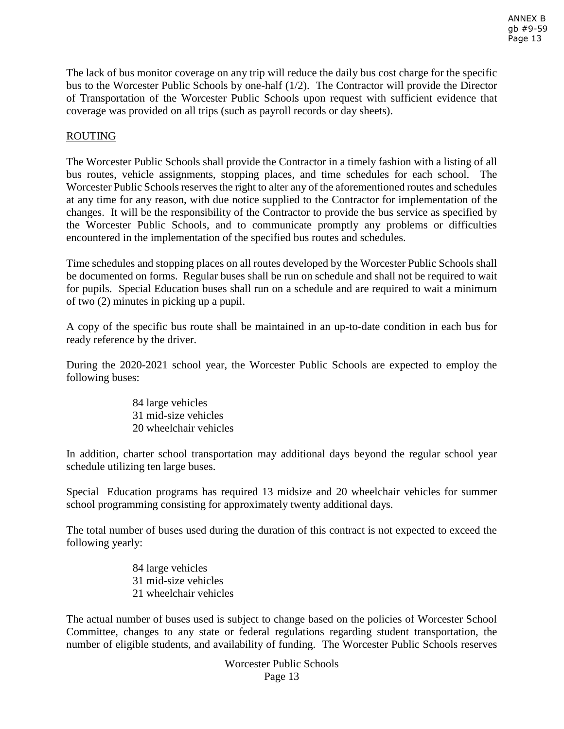The lack of bus monitor coverage on any trip will reduce the daily bus cost charge for the specific bus to the Worcester Public Schools by one-half (1/2). The Contractor will provide the Director of Transportation of the Worcester Public Schools upon request with sufficient evidence that coverage was provided on all trips (such as payroll records or day sheets).

## ROUTING

The Worcester Public Schools shall provide the Contractor in a timely fashion with a listing of all bus routes, vehicle assignments, stopping places, and time schedules for each school. The Worcester Public Schools reserves the right to alter any of the aforementioned routes and schedules at any time for any reason, with due notice supplied to the Contractor for implementation of the changes. It will be the responsibility of the Contractor to provide the bus service as specified by the Worcester Public Schools, and to communicate promptly any problems or difficulties encountered in the implementation of the specified bus routes and schedules.

Time schedules and stopping places on all routes developed by the Worcester Public Schools shall be documented on forms. Regular buses shall be run on schedule and shall not be required to wait for pupils. Special Education buses shall run on a schedule and are required to wait a minimum of two (2) minutes in picking up a pupil.

A copy of the specific bus route shall be maintained in an up-to-date condition in each bus for ready reference by the driver.

During the 2020-2021 school year, the Worcester Public Schools are expected to employ the following buses:

> 84 large vehicles 31 mid-size vehicles 20 wheelchair vehicles

In addition, charter school transportation may additional days beyond the regular school year schedule utilizing ten large buses.

Special Education programs has required 13 midsize and 20 wheelchair vehicles for summer school programming consisting for approximately twenty additional days.

The total number of buses used during the duration of this contract is not expected to exceed the following yearly:

> 84 large vehicles 31 mid-size vehicles 21 wheelchair vehicles

The actual number of buses used is subject to change based on the policies of Worcester School Committee, changes to any state or federal regulations regarding student transportation, the number of eligible students, and availability of funding. The Worcester Public Schools reserves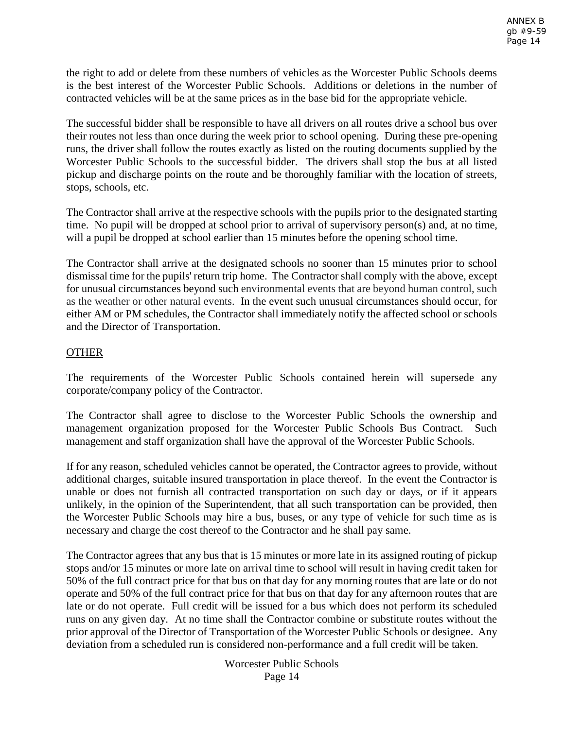the right to add or delete from these numbers of vehicles as the Worcester Public Schools deems is the best interest of the Worcester Public Schools. Additions or deletions in the number of contracted vehicles will be at the same prices as in the base bid for the appropriate vehicle.

The successful bidder shall be responsible to have all drivers on all routes drive a school bus over their routes not less than once during the week prior to school opening. During these pre-opening runs, the driver shall follow the routes exactly as listed on the routing documents supplied by the Worcester Public Schools to the successful bidder. The drivers shall stop the bus at all listed pickup and discharge points on the route and be thoroughly familiar with the location of streets, stops, schools, etc.

The Contractor shall arrive at the respective schools with the pupils prior to the designated starting time. No pupil will be dropped at school prior to arrival of supervisory person(s) and, at no time, will a pupil be dropped at school earlier than 15 minutes before the opening school time.

The Contractor shall arrive at the designated schools no sooner than 15 minutes prior to school dismissal time for the pupils' return trip home. The Contractor shall comply with the above, except for unusual circumstances beyond such environmental events that are beyond human control, such as the weather or other natural events. In the event such unusual circumstances should occur, for either AM or PM schedules, the Contractor shall immediately notify the affected school or schools and the Director of Transportation.

# **OTHER**

The requirements of the Worcester Public Schools contained herein will supersede any corporate/company policy of the Contractor.

The Contractor shall agree to disclose to the Worcester Public Schools the ownership and management organization proposed for the Worcester Public Schools Bus Contract. Such management and staff organization shall have the approval of the Worcester Public Schools.

If for any reason, scheduled vehicles cannot be operated, the Contractor agrees to provide, without additional charges, suitable insured transportation in place thereof. In the event the Contractor is unable or does not furnish all contracted transportation on such day or days, or if it appears unlikely, in the opinion of the Superintendent, that all such transportation can be provided, then the Worcester Public Schools may hire a bus, buses, or any type of vehicle for such time as is necessary and charge the cost thereof to the Contractor and he shall pay same.

The Contractor agrees that any bus that is 15 minutes or more late in its assigned routing of pickup stops and/or 15 minutes or more late on arrival time to school will result in having credit taken for 50% of the full contract price for that bus on that day for any morning routes that are late or do not operate and 50% of the full contract price for that bus on that day for any afternoon routes that are late or do not operate. Full credit will be issued for a bus which does not perform its scheduled runs on any given day. At no time shall the Contractor combine or substitute routes without the prior approval of the Director of Transportation of the Worcester Public Schools or designee. Any deviation from a scheduled run is considered non-performance and a full credit will be taken.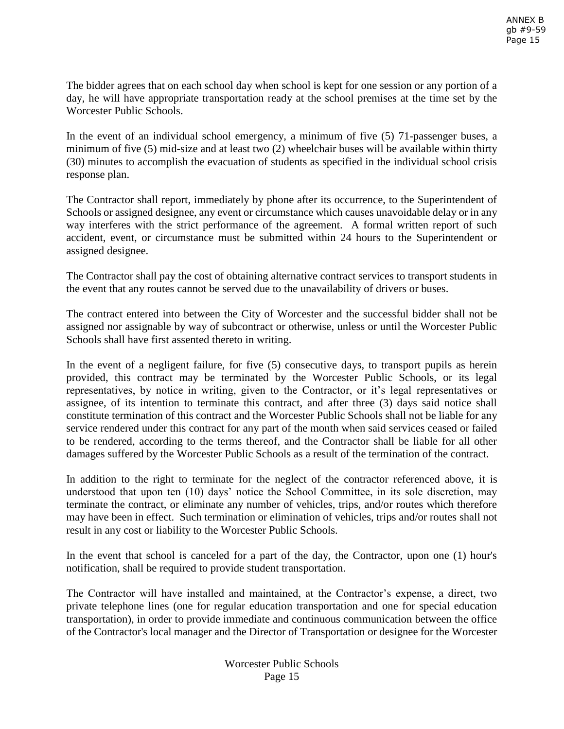The bidder agrees that on each school day when school is kept for one session or any portion of a day, he will have appropriate transportation ready at the school premises at the time set by the Worcester Public Schools.

In the event of an individual school emergency, a minimum of five (5) 71-passenger buses, a minimum of five (5) mid-size and at least two (2) wheelchair buses will be available within thirty (30) minutes to accomplish the evacuation of students as specified in the individual school crisis response plan.

The Contractor shall report, immediately by phone after its occurrence, to the Superintendent of Schools or assigned designee, any event or circumstance which causes unavoidable delay or in any way interferes with the strict performance of the agreement. A formal written report of such accident, event, or circumstance must be submitted within 24 hours to the Superintendent or assigned designee.

The Contractor shall pay the cost of obtaining alternative contract services to transport students in the event that any routes cannot be served due to the unavailability of drivers or buses.

The contract entered into between the City of Worcester and the successful bidder shall not be assigned nor assignable by way of subcontract or otherwise, unless or until the Worcester Public Schools shall have first assented thereto in writing.

In the event of a negligent failure, for five (5) consecutive days, to transport pupils as herein provided, this contract may be terminated by the Worcester Public Schools, or its legal representatives, by notice in writing, given to the Contractor, or it's legal representatives or assignee, of its intention to terminate this contract, and after three (3) days said notice shall constitute termination of this contract and the Worcester Public Schools shall not be liable for any service rendered under this contract for any part of the month when said services ceased or failed to be rendered, according to the terms thereof, and the Contractor shall be liable for all other damages suffered by the Worcester Public Schools as a result of the termination of the contract.

In addition to the right to terminate for the neglect of the contractor referenced above, it is understood that upon ten (10) days' notice the School Committee, in its sole discretion, may terminate the contract, or eliminate any number of vehicles, trips, and/or routes which therefore may have been in effect. Such termination or elimination of vehicles, trips and/or routes shall not result in any cost or liability to the Worcester Public Schools.

In the event that school is canceled for a part of the day, the Contractor, upon one (1) hour's notification, shall be required to provide student transportation.

The Contractor will have installed and maintained, at the Contractor's expense, a direct, two private telephone lines (one for regular education transportation and one for special education transportation), in order to provide immediate and continuous communication between the office of the Contractor's local manager and the Director of Transportation or designee for the Worcester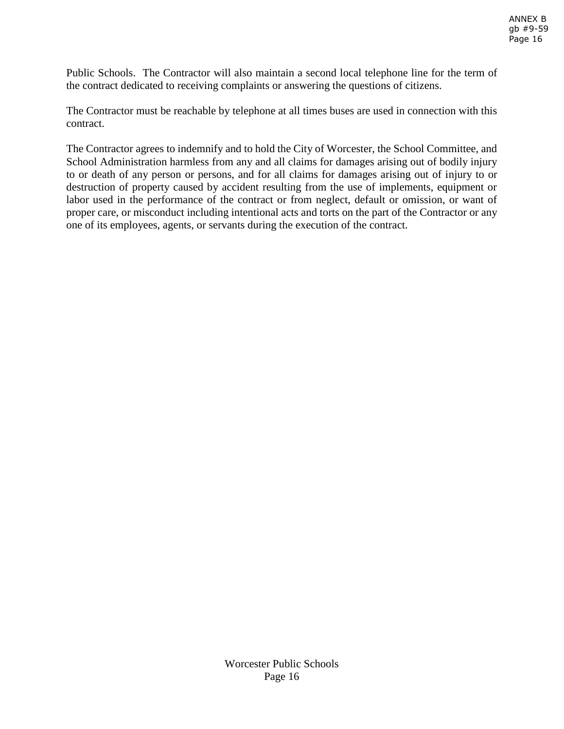Public Schools. The Contractor will also maintain a second local telephone line for the term of the contract dedicated to receiving complaints or answering the questions of citizens.

The Contractor must be reachable by telephone at all times buses are used in connection with this contract.

The Contractor agrees to indemnify and to hold the City of Worcester, the School Committee, and School Administration harmless from any and all claims for damages arising out of bodily injury to or death of any person or persons, and for all claims for damages arising out of injury to or destruction of property caused by accident resulting from the use of implements, equipment or labor used in the performance of the contract or from neglect, default or omission, or want of proper care, or misconduct including intentional acts and torts on the part of the Contractor or any one of its employees, agents, or servants during the execution of the contract.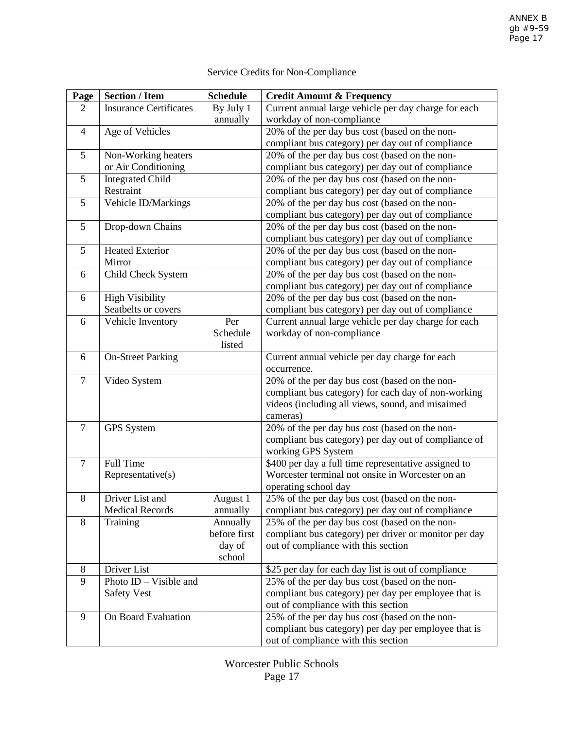# Service Credits for Non-Compliance

| Page           | <b>Section / Item</b>         | <b>Schedule</b> | <b>Credit Amount &amp; Frequency</b>                          |
|----------------|-------------------------------|-----------------|---------------------------------------------------------------|
| 2              | <b>Insurance Certificates</b> | By July 1       | Current annual large vehicle per day charge for each          |
|                |                               | annually        | workday of non-compliance                                     |
| 4              | Age of Vehicles               |                 | 20% of the per day bus cost (based on the non-                |
|                |                               |                 | compliant bus category) per day out of compliance             |
| 5              | Non-Working heaters           |                 | 20% of the per day bus cost (based on the non-                |
|                | or Air Conditioning           |                 | compliant bus category) per day out of compliance             |
| 5              | <b>Integrated Child</b>       |                 | 20% of the per day bus cost (based on the non-                |
|                | Restraint                     |                 | compliant bus category) per day out of compliance             |
| 5              | Vehicle ID/Markings           |                 | 20% of the per day bus cost (based on the non-                |
|                |                               |                 | compliant bus category) per day out of compliance             |
| 5              | Drop-down Chains              |                 | 20% of the per day bus cost (based on the non-                |
|                |                               |                 | compliant bus category) per day out of compliance             |
| 5              | <b>Heated Exterior</b>        |                 | 20% of the per day bus cost (based on the non-                |
|                | Mirror                        |                 | compliant bus category) per day out of compliance             |
| 6              | Child Check System            |                 | 20% of the per day bus cost (based on the non-                |
|                |                               |                 | compliant bus category) per day out of compliance             |
| 6              | <b>High Visibility</b>        |                 | 20% of the per day bus cost (based on the non-                |
|                | Seatbelts or covers           |                 | compliant bus category) per day out of compliance             |
| 6              | Vehicle Inventory             | Per             | Current annual large vehicle per day charge for each          |
|                |                               | Schedule        | workday of non-compliance                                     |
|                |                               | listed          |                                                               |
| 6              | <b>On-Street Parking</b>      |                 | Current annual vehicle per day charge for each                |
| $\overline{7}$ | Video System                  |                 | occurrence.<br>20% of the per day bus cost (based on the non- |
|                |                               |                 | compliant bus category) for each day of non-working           |
|                |                               |                 | videos (including all views, sound, and misaimed              |
|                |                               |                 | cameras)                                                      |
| $\overline{7}$ | <b>GPS</b> System             |                 | 20% of the per day bus cost (based on the non-                |
|                |                               |                 | compliant bus category) per day out of compliance of          |
|                |                               |                 | working GPS System                                            |
| $\overline{7}$ | Full Time                     |                 | \$400 per day a full time representative assigned to          |
|                | Representative(s)             |                 | Worcester terminal not onsite in Worcester on an              |
|                |                               |                 | operating school day                                          |
| 8              | Driver List and               | August 1        | 25% of the per day bus cost (based on the non-                |
|                | <b>Medical Records</b>        | annually        | compliant bus category) per day out of compliance             |
| 8              | Training                      | Annually        | 25% of the per day bus cost (based on the non-                |
|                |                               | before first    | compliant bus category) per driver or monitor per day         |
|                |                               | day of          | out of compliance with this section                           |
|                |                               | school          |                                                               |
| 8              | Driver List                   |                 | \$25 per day for each day list is out of compliance           |
| 9              | Photo $ID - Visible$ and      |                 | 25% of the per day bus cost (based on the non-                |
|                | <b>Safety Vest</b>            |                 | compliant bus category) per day per employee that is          |
|                |                               |                 | out of compliance with this section                           |
| 9              | On Board Evaluation           |                 | 25% of the per day bus cost (based on the non-                |
|                |                               |                 | compliant bus category) per day per employee that is          |
|                |                               |                 | out of compliance with this section                           |